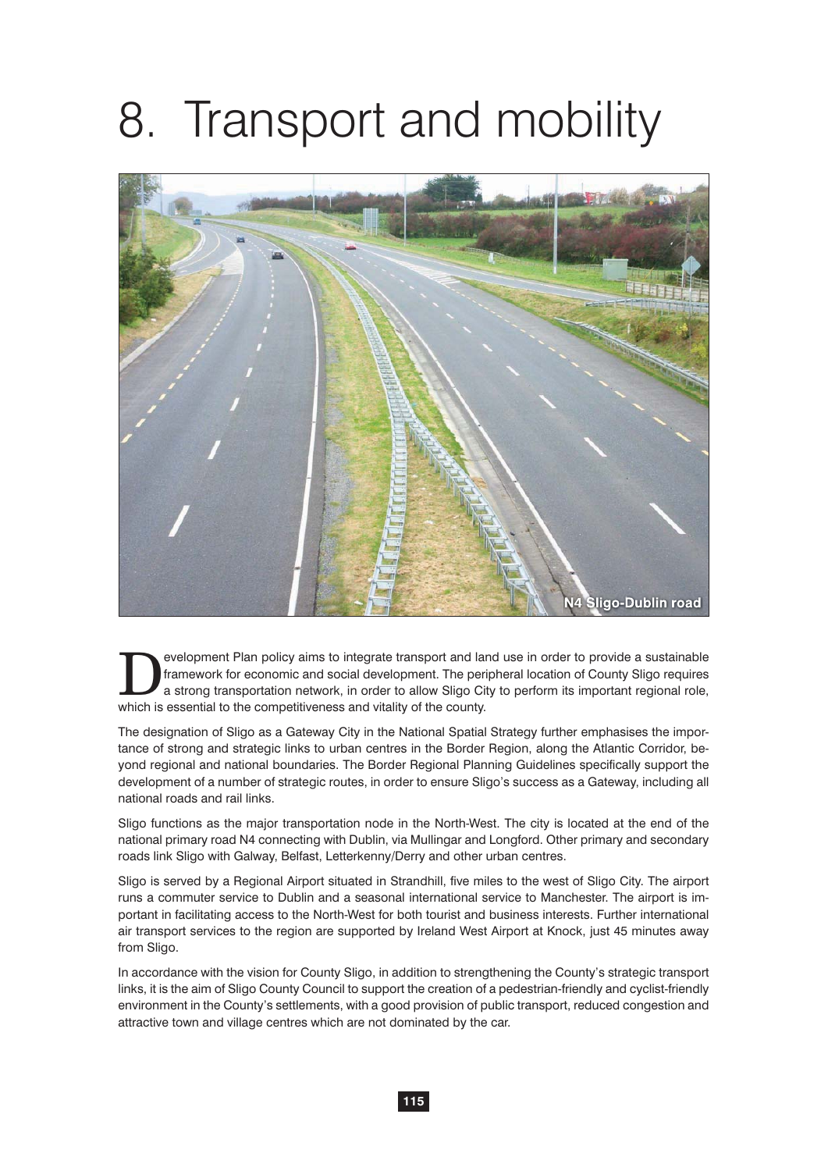# 8. Transport and mobility



evelopment Plan policy aims to integrate transport and land use in order to provide a sustainable framework for economic and social development. The peripheral location of County Sligo requires a strong transportation netw framework for economic and social development. The peripheral location of County Sligo requires which is essential to the competitiveness and vitality of the county.

The designation of Sligo as a Gateway City in the National Spatial Strategy further emphasises the importance of strong and strategic links to urban centres in the Border Region, along the Atlantic Corridor, beyond regional and national boundaries. The Border Regional Planning Guidelines specifically support the development of a number of strategic routes, in order to ensure Sligo's success as a Gateway, including all national roads and rail links.

Sligo functions as the major transportation node in the North-West. The city is located at the end of the national primary road N4 connecting with Dublin, via Mullingar and Longford. Other primary and secondary roads link Sligo with Galway, Belfast, Letterkenny/Derry and other urban centres.

Sligo is served by a Regional Airport situated in Strandhill, five miles to the west of Sligo City. The airport runs a commuter service to Dublin and a seasonal international service to Manchester. The airport is important in facilitating access to the North-West for both tourist and business interests. Further international air transport services to the region are supported by Ireland West Airport at Knock, just 45 minutes away from Sligo.

In accordance with the vision for County Sligo, in addition to strengthening the County's strategic transport links, it is the aim of Sligo County Council to support the creation of a pedestrian-friendly and cyclist-friendly environment in the County's settlements, with a good provision of public transport, reduced congestion and attractive town and village centres which are not dominated by the car.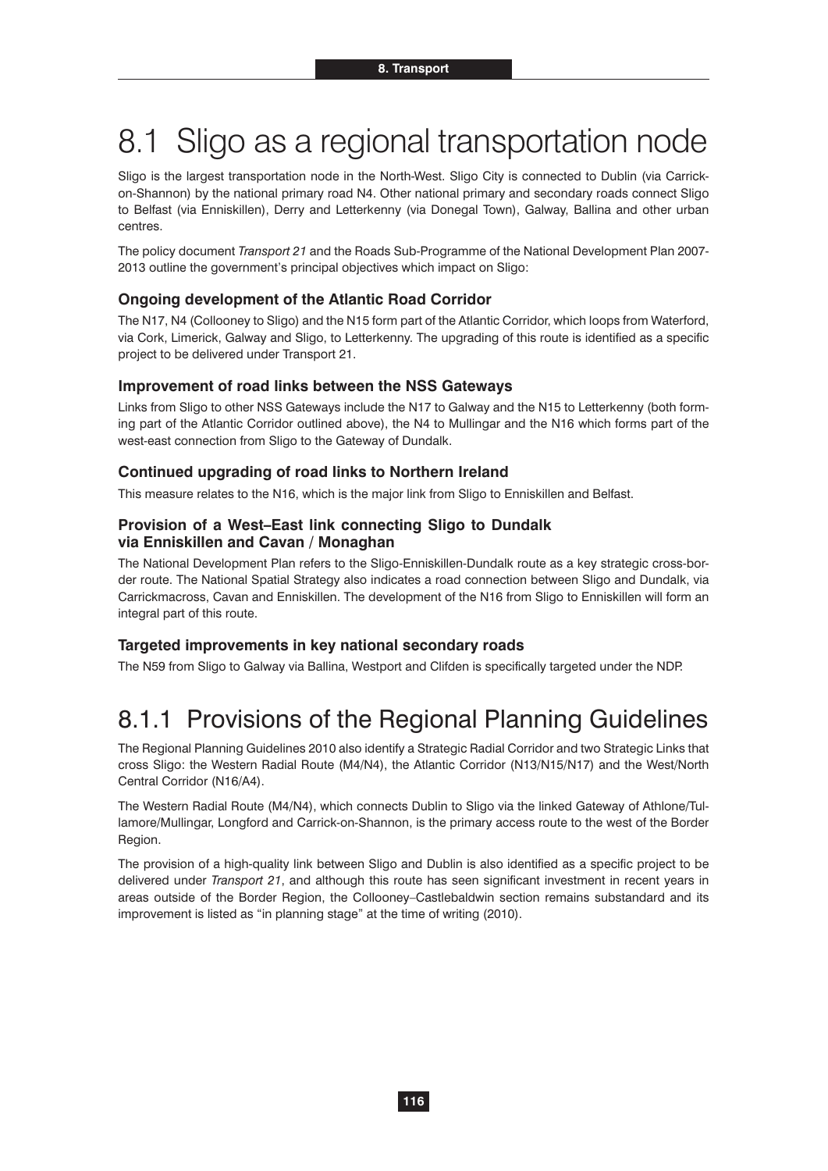# 8.1 Sligo as a regional transportation node

Sligo is the largest transportation node in the North-West. Sligo City is connected to Dublin (via Carrickon-Shannon) by the national primary road N4. Other national primary and secondary roads connect Sligo to Belfast (via Enniskillen), Derry and Letterkenny (via Donegal Town), Galway, Ballina and other urban centres.

The policy document *Transport 21* and the Roads Sub-Programme of the National Development Plan 2007- 2013 outline the government's principal objectives which impact on Sligo:

### **Ongoing development of the Atlantic Road Corridor**

The N17, N4 (Collooney to Sligo) and the N15 form part of the Atlantic Corridor, which loops from Waterford, via Cork, Limerick, Galway and Sligo, to Letterkenny. The upgrading of this route is identified as a specific project to be delivered under Transport 21.

#### **Improvement of road links between the NSS Gateways**

Links from Sligo to other NSS Gateways include the N17 to Galway and the N15 to Letterkenny (both forming part of the Atlantic Corridor outlined above), the N4 to Mullingar and the N16 which forms part of the west-east connection from Sligo to the Gateway of Dundalk.

#### **Continued upgrading of road links to Northern Ireland**

This measure relates to the N16, which is the major link from Sligo to Enniskillen and Belfast.

### **Provision of a West–East link connecting Sligo to Dundalk via Enniskillen and Cavan / Monaghan**

The National Development Plan refers to the Sligo-Enniskillen-Dundalk route as a key strategic cross-border route. The National Spatial Strategy also indicates a road connection between Sligo and Dundalk, via Carrickmacross, Cavan and Enniskillen. The development of the N16 from Sligo to Enniskillen will form an integral part of this route.

#### **Targeted improvements in key national secondary roads**

The N59 from Sligo to Galway via Ballina, Westport and Clifden is specifically targeted under the NDP.

# 8.1.1 Provisions of the Regional Planning Guidelines

The Regional Planning Guidelines 2010 also identify a Strategic Radial Corridor and two Strategic Links that cross Sligo: the Western Radial Route (M4/N4), the Atlantic Corridor (N13/N15/N17) and the West/North Central Corridor (N16/A4).

The Western Radial Route (M4/N4), which connects Dublin to Sligo via the linked Gateway of Athlone/Tullamore/Mullingar, Longford and Carrick-on-Shannon, is the primary access route to the west of the Border Region.

The provision of a high-quality link between Sligo and Dublin is also identified as a specific project to be delivered under *Transport 21*, and although this route has seen significant investment in recent years in areas outside of the Border Region, the Collooney–Castlebaldwin section remains substandard and its improvement is listed as "in planning stage" at the time of writing (2010).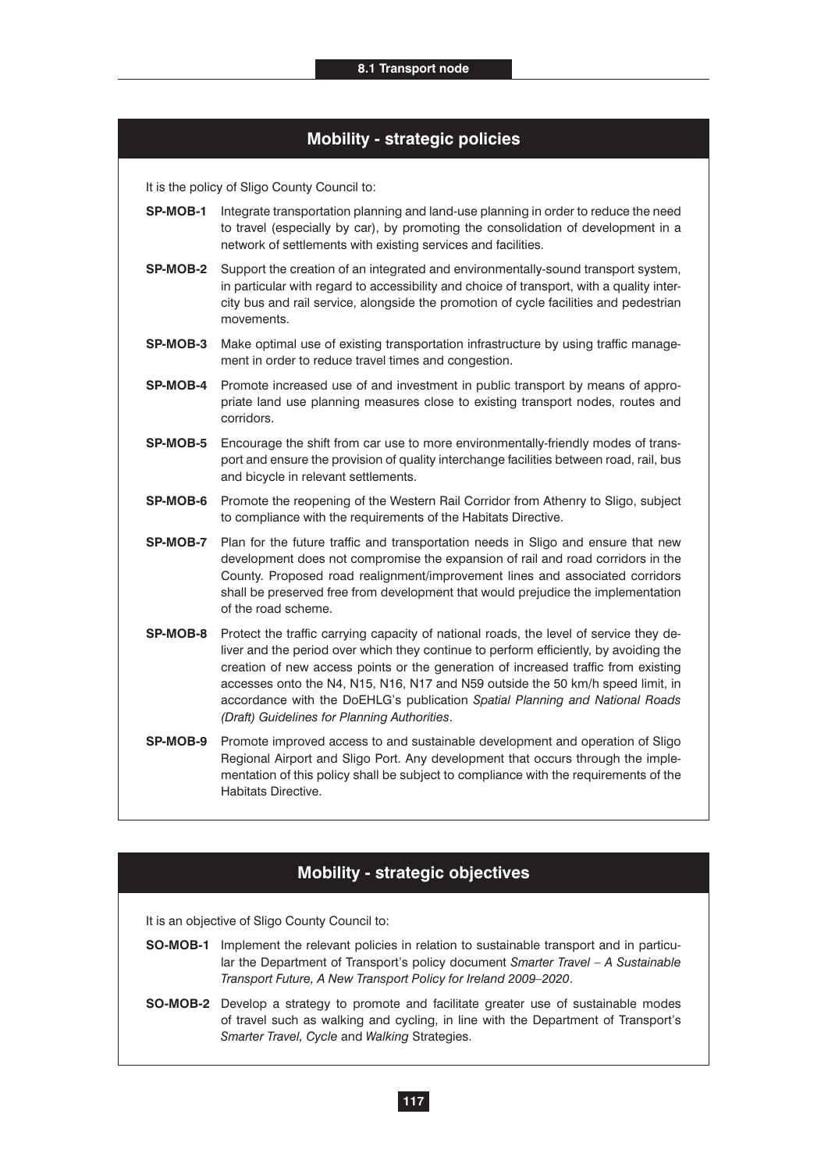# **Mobility - strategic policies**

It is the policy of Sligo County Council to:

- **SP-MOB-1** Integrate transportation planning and land-use planning in order to reduce the need to travel (especially by car), by promoting the consolidation of development in a network of settlements with existing services and facilities.
- **SP-MOB-2** Support the creation of an integrated and environmentally-sound transport system, in particular with regard to accessibility and choice of transport, with a quality intercity bus and rail service, alongside the promotion of cycle facilities and pedestrian movements.
- **SP-MOB-3** Make optimal use of existing transportation infrastructure by using traffic management in order to reduce travel times and congestion.
- **SP-MOB-4** Promote increased use of and investment in public transport by means of appropriate land use planning measures close to existing transport nodes, routes and corridors.
- **SP-MOB-5** Encourage the shift from car use to more environmentally-friendly modes of transport and ensure the provision of quality interchange facilities between road, rail, bus and bicycle in relevant settlements.
- **SP-MOB-6** Promote the reopening of the Western Rail Corridor from Athenry to Sligo, subject to compliance with the requirements of the Habitats Directive.
- **SP-MOB-7** Plan for the future traffic and transportation needs in Sligo and ensure that new development does not compromise the expansion of rail and road corridors in the County. Proposed road realignment/improvement lines and associated corridors shall be preserved free from development that would prejudice the implementation of the road scheme.
- **SP-MOB-8** Protect the traffic carrying capacity of national roads, the level of service they deliver and the period over which they continue to perform efficiently, by avoiding the creation of new access points or the generation of increased traffic from existing accesses onto the N4, N15, N16, N17 and N59 outside the 50 km/h speed limit, in accordance with the DoEHLG's publication *Spatial Planning and National Roads (Draft) Guidelines for Planning Authorities*.
- **SP-MOB-9** Promote improved access to and sustainable development and operation of Sligo Regional Airport and Sligo Port. Any development that occurs through the implementation of this policy shall be subject to compliance with the requirements of the Habitats Directive.

# **Mobility - strategic objectives**

- **SO-MOB-1** Implement the relevant policies in relation to sustainable transport and in particular the Department of Transport's policy document *Smarter Travel – A Sustainable Transport Future, A New Transport Policy for Ireland 2009–2020*.
- **SO-MOB-2** Develop a strategy to promote and facilitate greater use of sustainable modes of travel such as walking and cycling, in line with the Department of Transport's *Smarter Travel, Cycle* and *Walking* Strategies.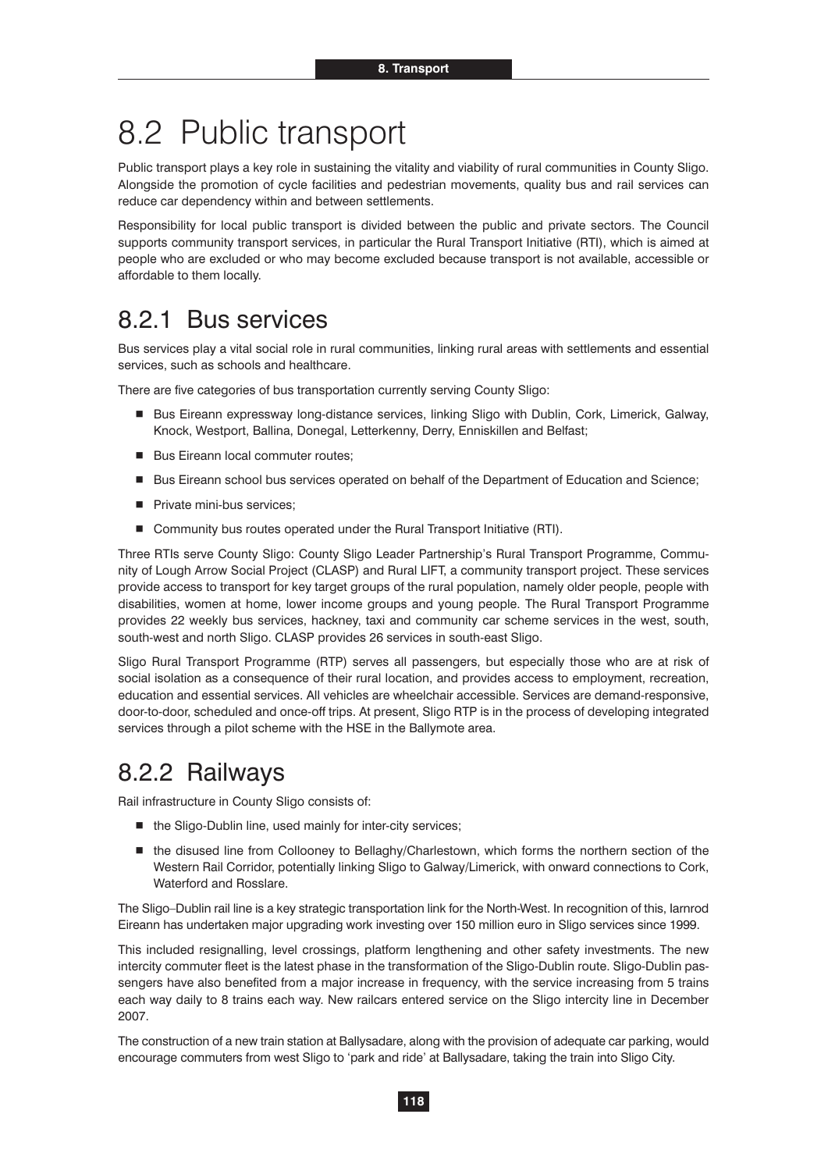# 8.2 Public transport

Public transport plays a key role in sustaining the vitality and viability of rural communities in County Sligo. Alongside the promotion of cycle facilities and pedestrian movements, quality bus and rail services can reduce car dependency within and between settlements.

Responsibility for local public transport is divided between the public and private sectors. The Council supports community transport services, in particular the Rural Transport Initiative (RTI), which is aimed at people who are excluded or who may become excluded because transport is not available, accessible or affordable to them locally.

# 8.2.1 Bus services

Bus services play a vital social role in rural communities, linking rural areas with settlements and essential services, such as schools and healthcare.

There are five categories of bus transportation currently serving County Sligo:

- Bus Eireann expressway long-distance services, linking Sligo with Dublin, Cork, Limerick, Galway, Knock, Westport, Ballina, Donegal, Letterkenny, Derry, Enniskillen and Belfast;
- **Bus Eireann local commuter routes;**
- Bus Eireann school bus services operated on behalf of the Department of Education and Science;
- **Private mini-bus services;**
- Community bus routes operated under the Rural Transport Initiative (RTI).

Three RTIs serve County Sligo: County Sligo Leader Partnership's Rural Transport Programme, Community of Lough Arrow Social Project (CLASP) and Rural LIFT, a community transport project. These services provide access to transport for key target groups of the rural population, namely older people, people with disabilities, women at home, lower income groups and young people. The Rural Transport Programme provides 22 weekly bus services, hackney, taxi and community car scheme services in the west, south, south-west and north Sligo. CLASP provides 26 services in south-east Sligo.

Sligo Rural Transport Programme (RTP) serves all passengers, but especially those who are at risk of social isolation as a consequence of their rural location, and provides access to employment, recreation, education and essential services. All vehicles are wheelchair accessible. Services are demand-responsive, door-to-door, scheduled and once-off trips. At present, Sligo RTP is in the process of developing integrated services through a pilot scheme with the HSE in the Ballymote area.

# 8.2.2 Railways

Rail infrastructure in County Sligo consists of:

- the Sligo-Dublin line, used mainly for inter-city services;
- the disused line from Collooney to Bellaghy/Charlestown, which forms the northern section of the Western Rail Corridor, potentially linking Sligo to Galway/Limerick, with onward connections to Cork, Waterford and Rosslare.

The Sligo–Dublin rail line is a key strategic transportation link for the North-West. In recognition of this, Iarnrod Eireann has undertaken major upgrading work investing over 150 million euro in Sligo services since 1999.

This included resignalling, level crossings, platform lengthening and other safety investments. The new intercity commuter fleet is the latest phase in the transformation of the Sligo-Dublin route. Sligo-Dublin passengers have also benefited from a major increase in frequency, with the service increasing from 5 trains each way daily to 8 trains each way. New railcars entered service on the Sligo intercity line in December 2007.

The construction of a new train station at Ballysadare, along with the provision of adequate car parking, would encourage commuters from west Sligo to 'park and ride' at Ballysadare, taking the train into Sligo City.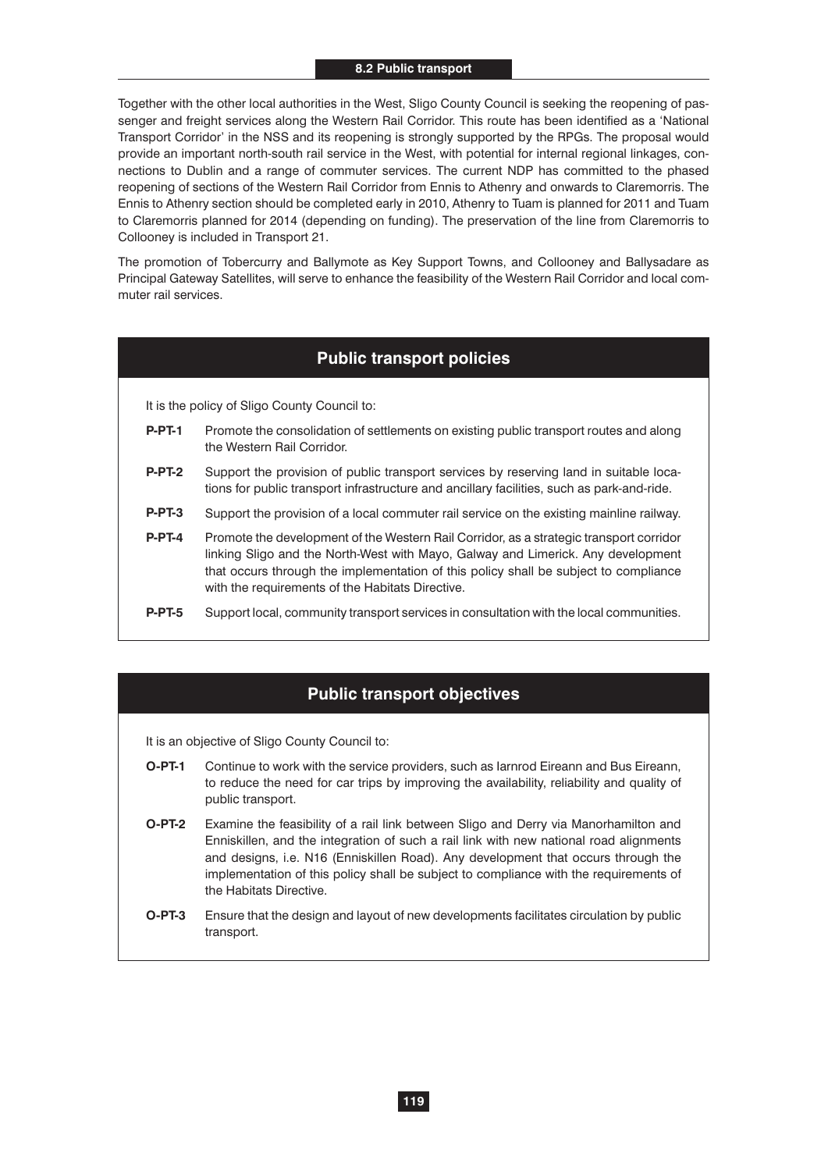Together with the other local authorities in the West, Sligo County Council is seeking the reopening of passenger and freight services along the Western Rail Corridor. This route has been identified as a 'National Transport Corridor' in the NSS and its reopening is strongly supported by the RPGs. The proposal would provide an important north-south rail service in the West, with potential for internal regional linkages, connections to Dublin and a range of commuter services. The current NDP has committed to the phased reopening of sections of the Western Rail Corridor from Ennis to Athenry and onwards to Claremorris. The Ennis to Athenry section should be completed early in 2010, Athenry to Tuam is planned for 2011 and Tuam to Claremorris planned for 2014 (depending on funding). The preservation of the line from Claremorris to Collooney is included in Transport 21.

The promotion of Tobercurry and Ballymote as Key Support Towns, and Collooney and Ballysadare as Principal Gateway Satellites, will serve to enhance the feasibility of the Western Rail Corridor and local commuter rail services.

# **Public transport policies**

It is the policy of Sligo County Council to:

- **P-PT-1** Promote the consolidation of settlements on existing public transport routes and along the Western Rail Corridor.
- **P-PT-2** Support the provision of public transport services by reserving land in suitable locations for public transport infrastructure and ancillary facilities, such as park-and-ride.
- **P-PT-3** Support the provision of a local commuter rail service on the existing mainline railway.
- **P-PT-4** Promote the development of the Western Rail Corridor, as a strategic transport corridor linking Sligo and the North-West with Mayo, Galway and Limerick. Any development that occurs through the implementation of this policy shall be subject to compliance with the requirements of the Habitats Directive.
- **P-PT-5** Support local, community transport services in consultation with the local communities.

## **Public transport objectives**

- **O-PT-1** Continue to work with the service providers, such as Iarnrod Eireann and Bus Eireann, to reduce the need for car trips by improving the availability, reliability and quality of public transport.
- **O-PT-2** Examine the feasibility of a rail link between Sligo and Derry via Manorhamilton and Enniskillen, and the integration of such a rail link with new national road alignments and designs, i.e. N16 (Enniskillen Road). Any development that occurs through the implementation of this policy shall be subject to compliance with the requirements of the Habitats Directive.
- **O-PT-3** Ensure that the design and layout of new developments facilitates circulation by public transport.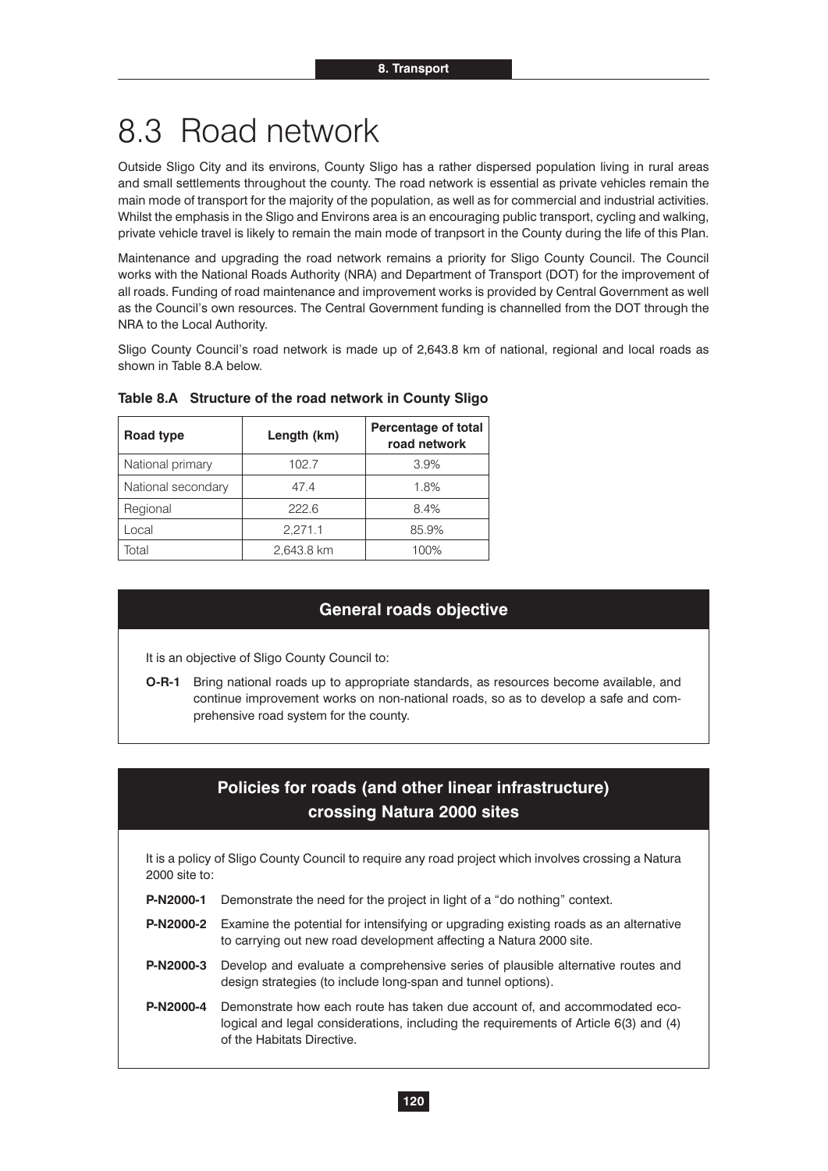# 8.3 Road network

Outside Sligo City and its environs, County Sligo has a rather dispersed population living in rural areas and small settlements throughout the county. The road network is essential as private vehicles remain the main mode of transport for the majority of the population, as well as for commercial and industrial activities. Whilst the emphasis in the Sligo and Environs area is an encouraging public transport, cycling and walking, private vehicle travel is likely to remain the main mode of tranpsort in the County during the life of this Plan.

Maintenance and upgrading the road network remains a priority for Sligo County Council. The Council works with the National Roads Authority (NRA) and Department of Transport (DOT) for the improvement of all roads. Funding of road maintenance and improvement works is provided by Central Government as well as the Council's own resources. The Central Government funding is channelled from the DOT through the NRA to the Local Authority.

Sligo County Council's road network is made up of 2,643.8 km of national, regional and local roads as shown in Table 8.A below.

| Road type          | Length (km) | <b>Percentage of total</b><br>road network |
|--------------------|-------------|--------------------------------------------|
| National primary   | 102.7       | 3.9%                                       |
| National secondary | 47.4        | 1.8%                                       |
| Regional           | 222.6       | 8.4%                                       |
| Local              | 2.271.1     | 85.9%                                      |
| Total              | 2,643.8 km  | 100%                                       |

#### **Table 8.A Structure of the road network in County Sligo**

### **General roads objective**

It is an objective of Sligo County Council to:

**O-R-1** Bring national roads up to appropriate standards, as resources become available, and continue improvement works on non-national roads, so as to develop a safe and comprehensive road system for the county.

# **Policies for roads (and other linear infrastructure) crossing Natura 2000 sites**

It is a policy of Sligo County Council to require any road project which involves crossing a Natura 2000 site to:

- **P-N2000-1** Demonstrate the need for the project in light of a "do nothing" context.
- **P-N2000-2** Examine the potential for intensifying or upgrading existing roads as an alternative to carrying out new road development affecting a Natura 2000 site.
- **P-N2000-3** Develop and evaluate a comprehensive series of plausible alternative routes and design strategies (to include long-span and tunnel options).
- **P-N2000-4** Demonstrate how each route has taken due account of, and accommodated ecological and legal considerations, including the requirements of Article 6(3) and (4) of the Habitats Directive.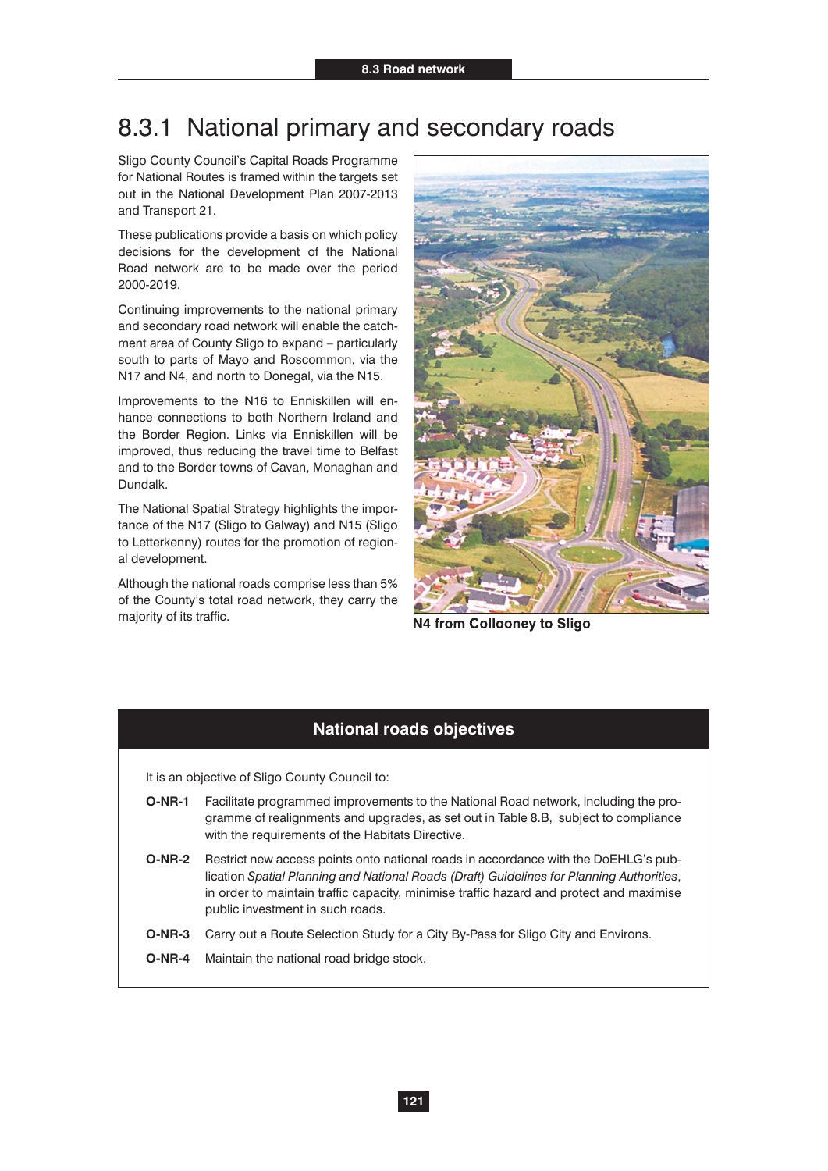# 8.3.1 National primary and secondary roads

Sligo County Council's Capital Roads Programme for National Routes is framed within the targets set out in the National Development Plan 2007-2013 and Transport 21.

These publications provide a basis on which policy decisions for the development of the National Road network are to be made over the period 2000-2019.

Continuing improvements to the national primary and secondary road network will enable the catchment area of County Sligo to expand – particularly south to parts of Mayo and Roscommon, via the N17 and N4, and north to Donegal, via the N15.

Improvements to the N16 to Enniskillen will enhance connections to both Northern Ireland and the Border Region. Links via Enniskillen will be improved, thus reducing the travel time to Belfast and to the Border towns of Cavan, Monaghan and Dundalk.

The National Spatial Strategy highlights the importance of the N17 (Sligo to Galway) and N15 (Sligo to Letterkenny) routes for the promotion of regional development.

Although the national roads comprise less than 5% of the County's total road network, they carry the majority of its traffic.



N4 from Collooney to Sligo

# **National roads objectives**

- **O-NR-1** Facilitate programmed improvements to the National Road network, including the programme of realignments and upgrades, as set out in Table 8.B, subject to compliance with the requirements of the Habitats Directive.
- **O-NR-2** Restrict new access points onto national roads in accordance with the DoEHLG's publication *Spatial Planning and National Roads (Draft) Guidelines for Planning Authorities*, in order to maintain traffic capacity, minimise traffic hazard and protect and maximise public investment in such roads.
- **O-NR-3** Carry out a Route Selection Study for a City By-Pass for Sligo City and Environs.
- **O-NR-4** Maintain the national road bridge stock.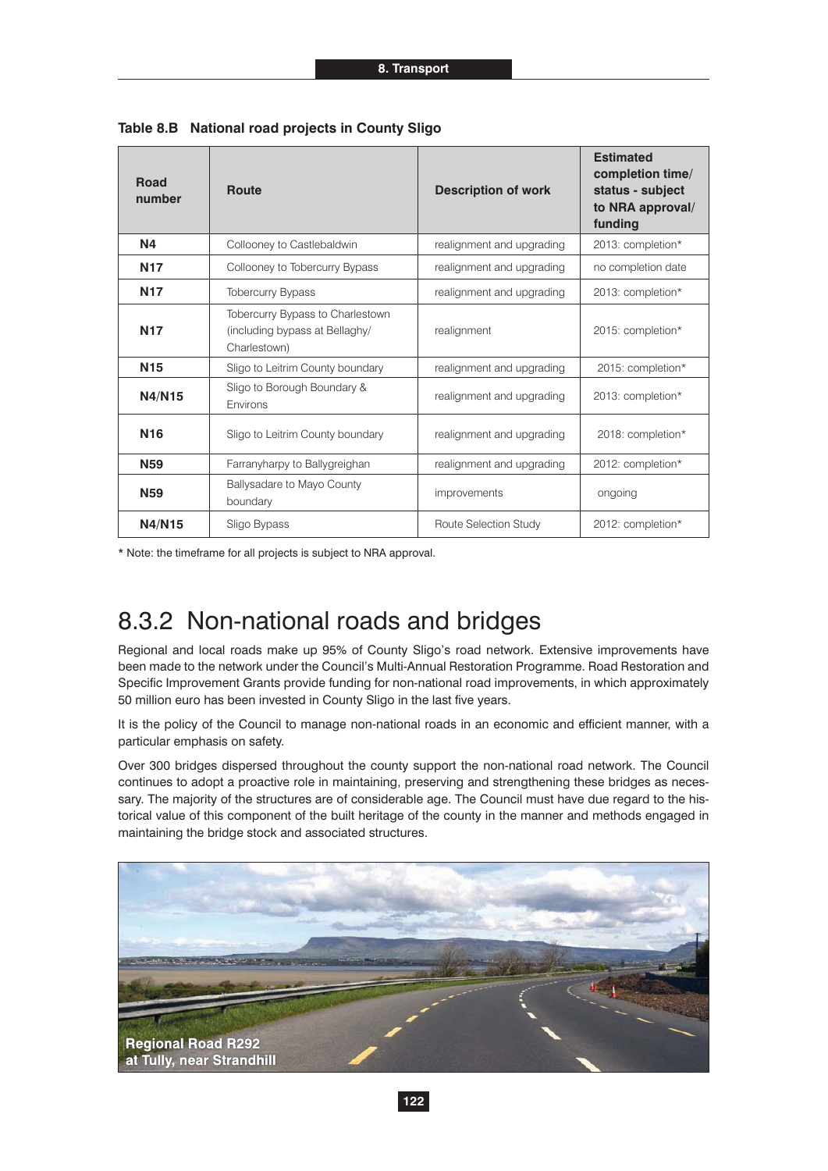| <b>Road</b><br>number | Route                                                                              | <b>Description of work</b> | <b>Estimated</b><br>completion time/<br>status - subject<br>to NRA approval/<br>funding |
|-----------------------|------------------------------------------------------------------------------------|----------------------------|-----------------------------------------------------------------------------------------|
| <b>N4</b>             | Collooney to Castlebaldwin                                                         | realignment and upgrading  | 2013: completion*                                                                       |
| <b>N17</b>            | Collooney to Tobercurry Bypass                                                     | realignment and upgrading  | no completion date                                                                      |
| <b>N17</b>            | <b>Tobercurry Bypass</b>                                                           | realignment and upgrading  | 2013: completion*                                                                       |
| <b>N17</b>            | Tobercurry Bypass to Charlestown<br>(including bypass at Bellaghy/<br>Charlestown) | realignment                | 2015: completion*                                                                       |
| <b>N15</b>            | Sligo to Leitrim County boundary                                                   | realignment and upgrading  | 2015: completion*                                                                       |
| N4/N15                | Sligo to Borough Boundary &<br>Environs                                            | realignment and upgrading  | 2013: completion*                                                                       |
| <b>N16</b>            | Sligo to Leitrim County boundary                                                   | realignment and upgrading  | 2018: completion*                                                                       |
| <b>N59</b>            | Farranyharpy to Ballygreighan                                                      | realignment and upgrading  | 2012: completion*                                                                       |
| <b>N59</b>            | Ballysadare to Mayo County<br>boundary                                             | improvements               | ongoing                                                                                 |
| N4/N15                | Sligo Bypass                                                                       | Route Selection Study      | 2012: completion*                                                                       |

**Table 8.B National road projects in County Sligo**

\* Note: the timeframe for all projects is subject to NRA approval.

# 8.3.2 Non-national roads and bridges

Regional and local roads make up 95% of County Sligo's road network. Extensive improvements have been made to the network under the Council's Multi-Annual Restoration Programme. Road Restoration and Specific Improvement Grants provide funding for non-national road improvements, in which approximately 50 million euro has been invested in County Sligo in the last five years.

It is the policy of the Council to manage non-national roads in an economic and efficient manner, with a particular emphasis on safety.

Over 300 bridges dispersed throughout the county support the non-national road network. The Council continues to adopt a proactive role in maintaining, preserving and strengthening these bridges as necessary. The majority of the structures are of considerable age. The Council must have due regard to the historical value of this component of the built heritage of the county in the manner and methods engaged in maintaining the bridge stock and associated structures.

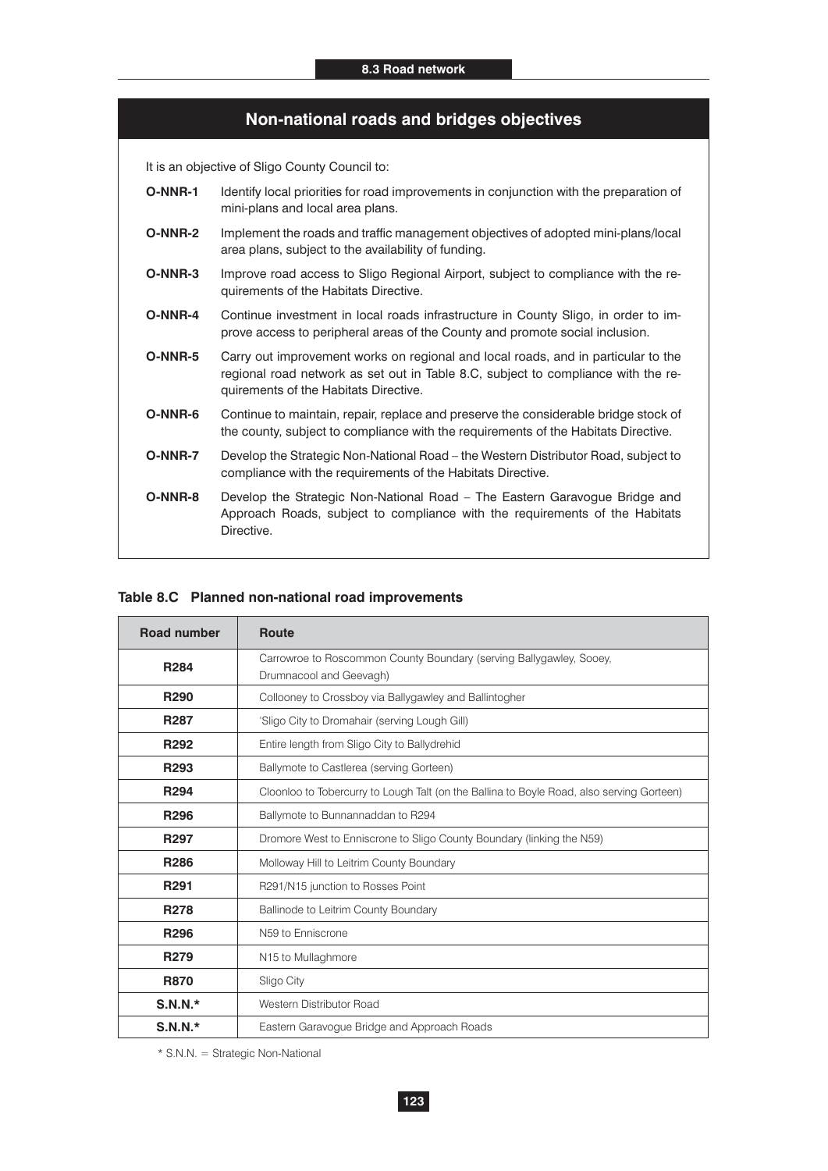## **Non-national roads and bridges objectives**

It is an objective of Sligo County Council to:

- **O-NNR-1** Identify local priorities for road improvements in conjunction with the preparation of mini-plans and local area plans.
- **O-NNR-2** Implement the roads and traffic management objectives of adopted mini-plans/local area plans, subject to the availability of funding.
- **O-NNR-3** Improve road access to Sligo Regional Airport, subject to compliance with the requirements of the Habitats Directive.
- **O-NNR-4** Continue investment in local roads infrastructure in County Sligo, in order to improve access to peripheral areas of the County and promote social inclusion.
- **O-NNR-5** Carry out improvement works on regional and local roads, and in particular to the regional road network as set out in Table 8.C, subject to compliance with the requirements of the Habitats Directive.
- **O-NNR-6** Continue to maintain, repair, replace and preserve the considerable bridge stock of the county, subject to compliance with the requirements of the Habitats Directive.
- **O-NNR-7** Develop the Strategic Non-National Road the Western Distributor Road, subject to compliance with the requirements of the Habitats Directive.
- **O-NNR-8** Develop the Strategic Non-National Road The Eastern Garavogue Bridge and Approach Roads, subject to compliance with the requirements of the Habitats Directive.

### **Table 8.C Planned non-national road improvements**

| <b>Road number</b> | <b>Route</b>                                                                                   |  |
|--------------------|------------------------------------------------------------------------------------------------|--|
| R <sub>284</sub>   | Carrowroe to Roscommon County Boundary (serving Ballygawley, Sooey,<br>Drumnacool and Geevagh) |  |
| R <sub>290</sub>   | Collooney to Crossboy via Ballygawley and Ballintogher                                         |  |
| R287               | 'Sligo City to Dromahair (serving Lough Gill)                                                  |  |
| R <sub>292</sub>   | Entire length from Sligo City to Ballydrehid                                                   |  |
| R <sub>293</sub>   | Ballymote to Castlerea (serving Gorteen)                                                       |  |
| R <sub>294</sub>   | Cloonloo to Tobercurry to Lough Talt (on the Ballina to Boyle Road, also serving Gorteen)      |  |
| R <sub>296</sub>   | Ballymote to Bunnannaddan to R294                                                              |  |
| R <sub>297</sub>   | Dromore West to Enniscrone to Sligo County Boundary (linking the N59)                          |  |
| R286               | Molloway Hill to Leitrim County Boundary                                                       |  |
| R <sub>291</sub>   | R291/N15 junction to Rosses Point                                                              |  |
| <b>R278</b>        | Ballinode to Leitrim County Boundary                                                           |  |
| R <sub>296</sub>   | N59 to Enniscrone                                                                              |  |
| R <sub>279</sub>   | N <sub>15</sub> to Mullaghmore                                                                 |  |
| <b>R870</b>        | Sligo City                                                                                     |  |
| $S.N.N.*$          | Western Distributor Road                                                                       |  |
| $S.N.N.*$          | Eastern Garavogue Bridge and Approach Roads                                                    |  |

\* S.N.N. = Strategic Non-National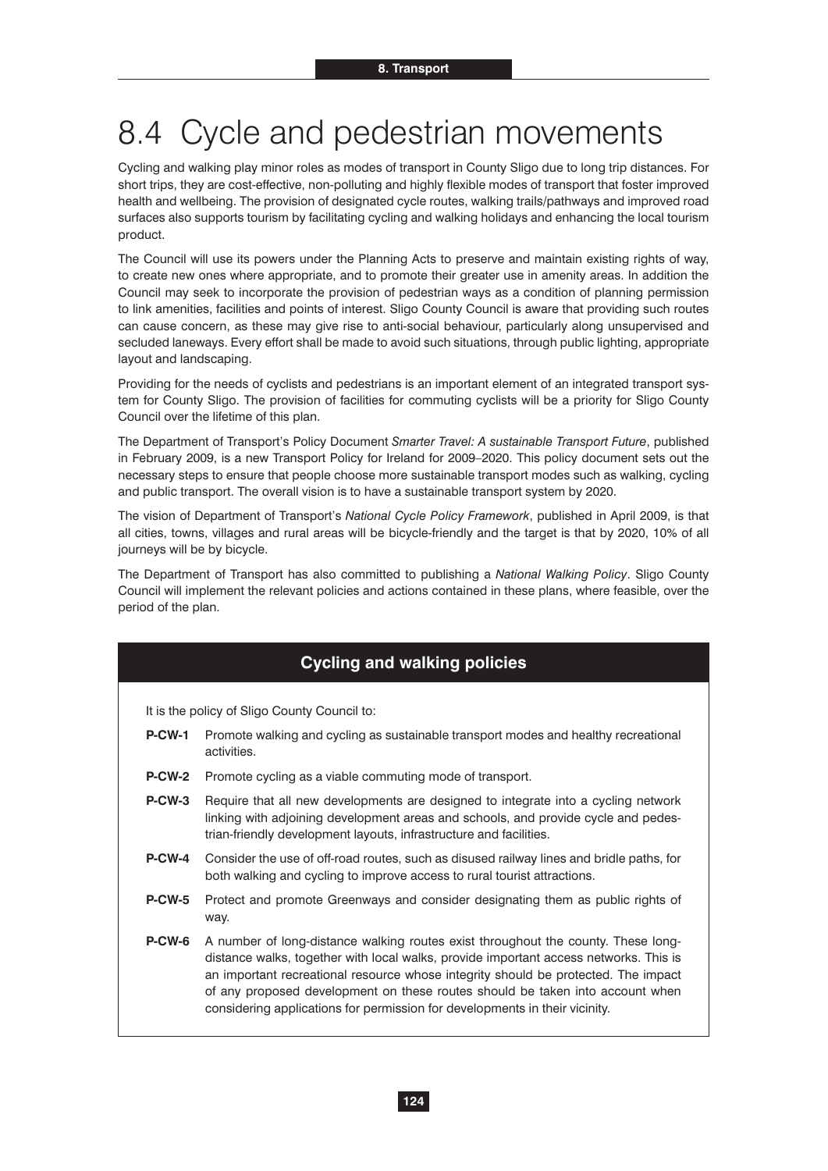# 8.4 Cycle and pedestrian movements

Cycling and walking play minor roles as modes of transport in County Sligo due to long trip distances. For short trips, they are cost-effective, non-polluting and highly flexible modes of transport that foster improved health and wellbeing. The provision of designated cycle routes, walking trails/pathways and improved road surfaces also supports tourism by facilitating cycling and walking holidays and enhancing the local tourism product.

The Council will use its powers under the Planning Acts to preserve and maintain existing rights of way, to create new ones where appropriate, and to promote their greater use in amenity areas. In addition the Council may seek to incorporate the provision of pedestrian ways as a condition of planning permission to link amenities, facilities and points of interest. Sligo County Council is aware that providing such routes can cause concern, as these may give rise to anti-social behaviour, particularly along unsupervised and secluded laneways. Every effort shall be made to avoid such situations, through public lighting, appropriate layout and landscaping.

Providing for the needs of cyclists and pedestrians is an important element of an integrated transport system for County Sligo. The provision of facilities for commuting cyclists will be a priority for Sligo County Council over the lifetime of this plan.

The Department of Transport's Policy Document *Smarter Travel: A sustainable Transport Future*, published in February 2009, is a new Transport Policy for Ireland for 2009–2020. This policy document sets out the necessary steps to ensure that people choose more sustainable transport modes such as walking, cycling and public transport. The overall vision is to have a sustainable transport system by 2020.

The vision of Department of Transport's *National Cycle Policy Framework*, published in April 2009, is that all cities, towns, villages and rural areas will be bicycle-friendly and the target is that by 2020, 10% of all journeys will be by bicycle.

The Department of Transport has also committed to publishing a *National Walking Policy*. Sligo County Council will implement the relevant policies and actions contained in these plans, where feasible, over the period of the plan.

# **Cycling and walking policies**

It is the policy of Sligo County Council to:

- **P-CW-1** Promote walking and cycling as sustainable transport modes and healthy recreational activities.
- **P-CW-2** Promote cycling as a viable commuting mode of transport.
- **P-CW-3** Require that all new developments are designed to integrate into a cycling network linking with adjoining development areas and schools, and provide cycle and pedestrian-friendly development layouts, infrastructure and facilities.
- **P-CW-4** Consider the use of off-road routes, such as disused railway lines and bridle paths, for both walking and cycling to improve access to rural tourist attractions.
- **P-CW-5** Protect and promote Greenways and consider designating them as public rights of way.
- **P-CW-6** A number of long-distance walking routes exist throughout the county. These longdistance walks, together with local walks, provide important access networks. This is an important recreational resource whose integrity should be protected. The impact of any proposed development on these routes should be taken into account when considering applications for permission for developments in their vicinity.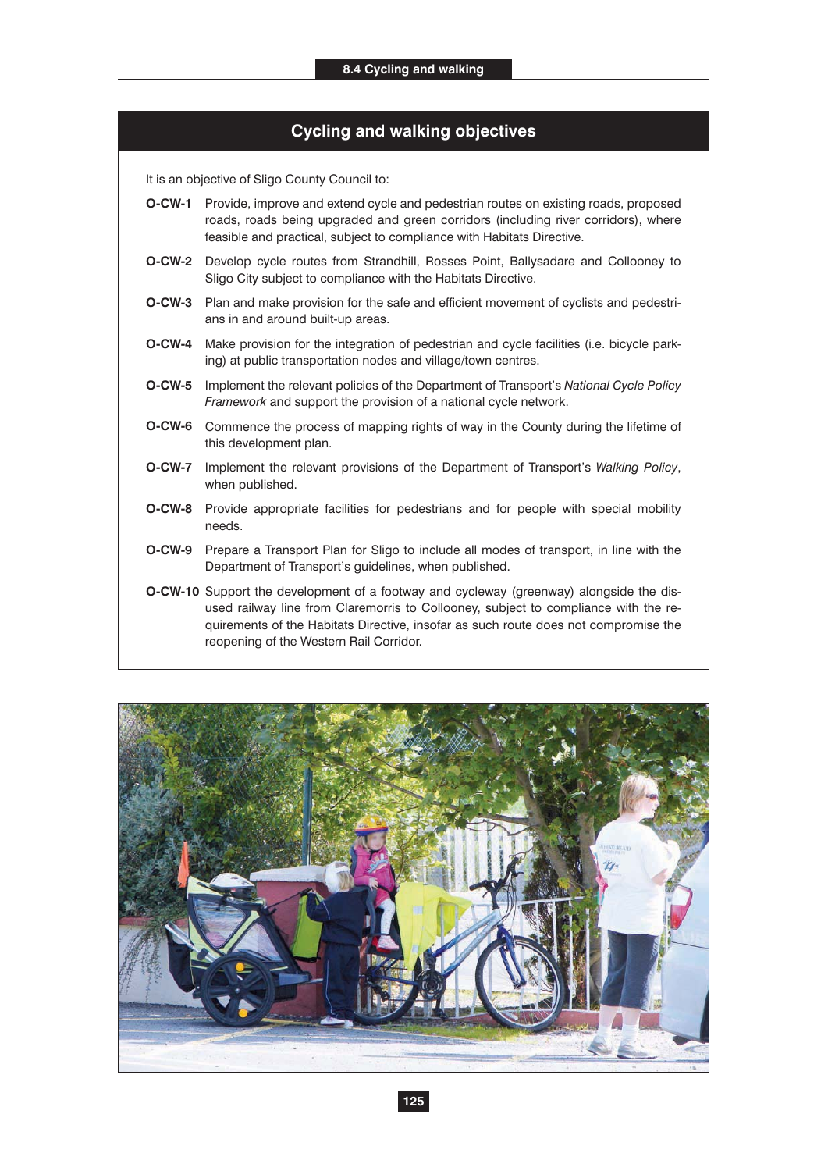# **Cycling and walking objectives**

- **O-CW-1** Provide, improve and extend cycle and pedestrian routes on existing roads, proposed roads, roads being upgraded and green corridors (including river corridors), where feasible and practical, subject to compliance with Habitats Directive.
- **O-CW-2** Develop cycle routes from Strandhill, Rosses Point, Ballysadare and Collooney to Sligo City subject to compliance with the Habitats Directive.
- **O-CW-3** Plan and make provision for the safe and efficient movement of cyclists and pedestrians in and around built-up areas.
- **O-CW-4** Make provision for the integration of pedestrian and cycle facilities (i.e. bicycle parking) at public transportation nodes and village/town centres.
- **O-CW-5** Implement the relevant policies of the Department of Transport's *National Cycle Policy Framework* and support the provision of a national cycle network.
- **O-CW-6** Commence the process of mapping rights of way in the County during the lifetime of this development plan.
- **O-CW-7** Implement the relevant provisions of the Department of Transport's *Walking Policy*, when published.
- **O-CW-8** Provide appropriate facilities for pedestrians and for people with special mobility needs.
- **O-CW-9** Prepare a Transport Plan for Sligo to include all modes of transport, in line with the Department of Transport's guidelines, when published.
- **O-CW-10** Support the development of a footway and cycleway (greenway) alongside the disused railway line from Claremorris to Collooney, subject to compliance with the requirements of the Habitats Directive, insofar as such route does not compromise the reopening of the Western Rail Corridor.

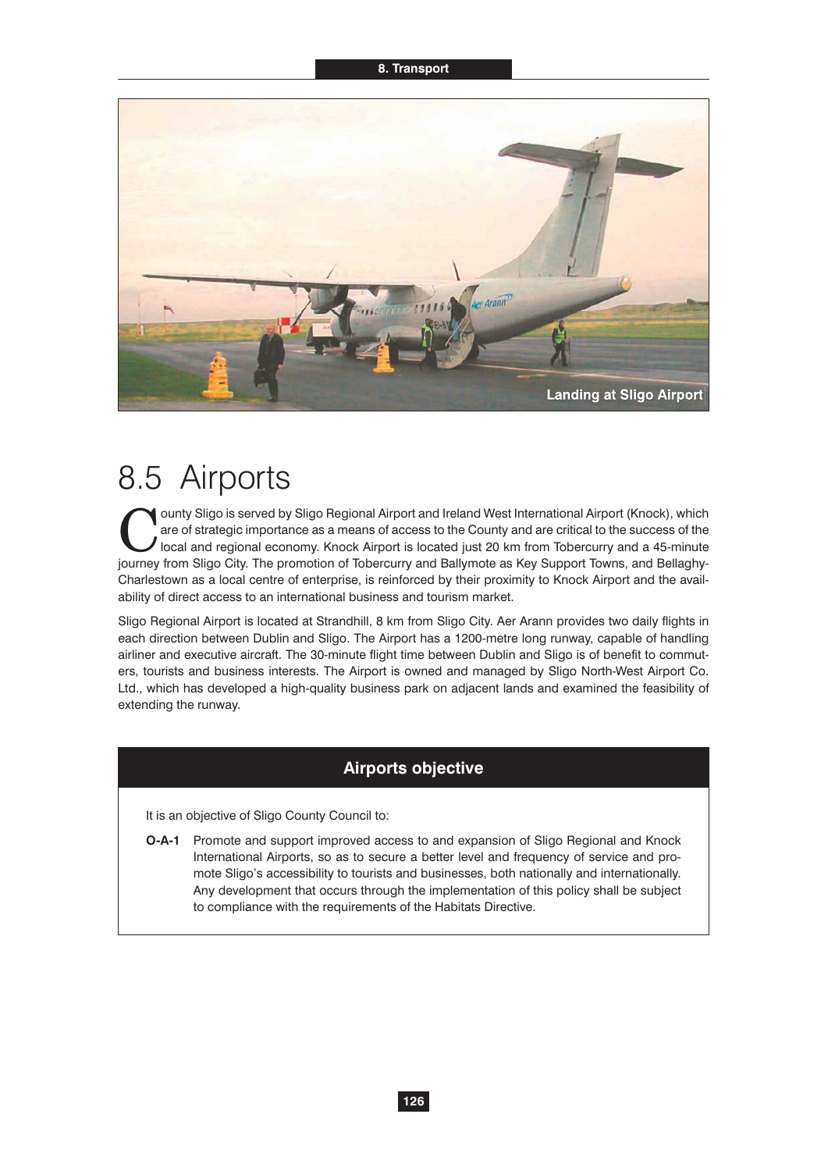#### **8. Transport**



# 8.5 Airports

Ounty Sligo is served by Sligo Regional Airport and Ireland West International Airport (Knock), which are of strategic importance as a means of access to the County and are critical to the success of the local and regional are of strategic importance as a means of access to the County and are critical to the success of the journey from Sligo City. The promotion of Tobercurry and Ballymote as Key Support Towns, and Bellaghy-Charlestown as a local centre of enterprise, is reinforced by their proximity to Knock Airport and the availability of direct access to an international business and tourism market.

Sligo Regional Airport is located at Strandhill, 8 km from Sligo City. Aer Arann provides two daily flights in each direction between Dublin and Sligo. The Airport has a 1200-metre long runway, capable of handling airliner and executive aircraft. The 30-minute flight time between Dublin and Sligo is of benefit to commuters, tourists and business interests. The Airport is owned and managed by Sligo North-West Airport Co. Ltd., which has developed a high-quality business park on adjacent lands and examined the feasibility of extending the runway.

# **Airports objective**

It is an objective of Sligo County Council to:

**O-A-1** Promote and support improved access to and expansion of Sligo Regional and Knock International Airports, so as to secure a better level and frequency of service and promote Sligo's accessibility to tourists and businesses, both nationally and internationally. Any development that occurs through the implementation of this policy shall be subject to compliance with the requirements of the Habitats Directive.